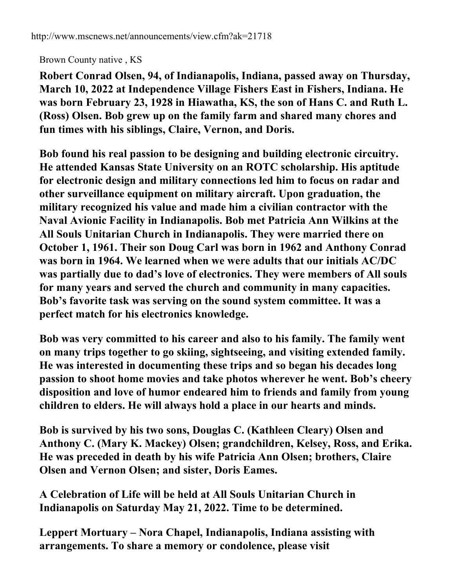## Brown County native , KS

**Robert Conrad Olsen, 94, of Indianapolis, Indiana, passed away on Thursday, March 10, 2022 at Independence Village Fishers East in Fishers, Indiana. He was born February 23, 1928 in Hiawatha, KS, the son of Hans C. and Ruth L. (Ross) Olsen. Bob grew up on the family farm and shared many chores and fun times with his siblings, Claire, Vernon, and Doris.**

**Bob found his real passion to be designing and building electronic circuitry. He attended Kansas State University on an ROTC scholarship. His aptitude for electronic design and military connections led him to focus on radar and other surveillance equipment on military aircraft. Upon graduation, the military recognized his value and made him a civilian contractor with the Naval Avionic Facility in Indianapolis. Bob met Patricia Ann Wilkins at the All Souls Unitarian Church in Indianapolis. They were married there on October 1, 1961. Their son Doug Carl was born in 1962 and Anthony Conrad was born in 1964. We learned when we were adults that our initials AC/DC was partially due to dad's love of electronics. They were members of All souls for many years and served the church and community in many capacities. Bob's favorite task was serving on the sound system committee. It was a perfect match for his electronics knowledge.**

**Bob was very committed to his career and also to his family. The family went on many trips together to go skiing, sightseeing, and visiting extended family. He was interested in documenting these trips and so began his decades long passion to shoot home movies and take photos wherever he went. Bob's cheery disposition and love of humor endeared him to friends and family from young children to elders. He will always hold a place in our hearts and minds.**

**Bob is survived by his two sons, Douglas C. (Kathleen Cleary) Olsen and Anthony C. (Mary K. Mackey) Olsen; grandchildren, Kelsey, Ross, and Erika. He was preceded in death by his wife Patricia Ann Olsen; brothers, Claire Olsen and Vernon Olsen; and sister, Doris Eames.**

**A Celebration of Life will be held at All Souls Unitarian Church in Indianapolis on Saturday May 21, 2022. Time to be determined.**

**Leppert Mortuary – Nora Chapel, Indianapolis, Indiana assisting with arrangements. To share a memory or condolence, please visit**